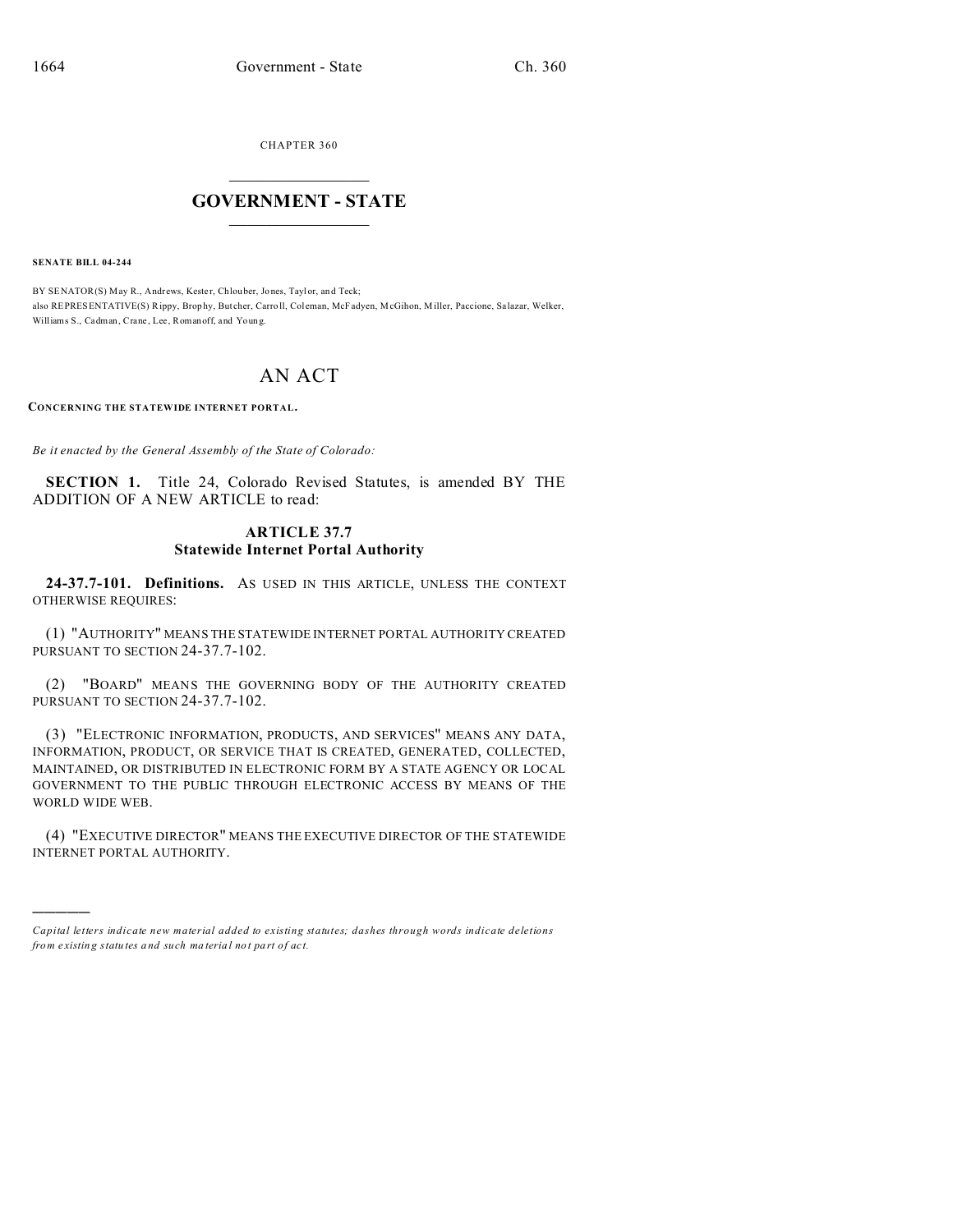CHAPTER 360  $\overline{\phantom{a}}$  , where  $\overline{\phantom{a}}$ 

## **GOVERNMENT - STATE**  $\_$   $\_$

**SENATE BILL 04-244**

)))))

BY SENATOR(S) May R., Andrews, Kester, Chlouber, Jones, Taylor, and Teck; also REPRESENTATIVE(S) Rippy, Brophy, Butcher, Carroll, Coleman, McFadyen, McGihon, Miller, Paccione, Salazar, Welker, Williams S., Cadman, Crane, Lee, Romanoff, and Young.

## AN ACT

**CONCERNING THE STATEWIDE INTERNET PORTAL.**

*Be it enacted by the General Assembly of the State of Colorado:*

**SECTION 1.** Title 24, Colorado Revised Statutes, is amended BY THE ADDITION OF A NEW ARTICLE to read:

## **ARTICLE 37.7 Statewide Internet Portal Authority**

**24-37.7-101. Definitions.** AS USED IN THIS ARTICLE, UNLESS THE CONTEXT OTHERWISE REQUIRES:

(1) "AUTHORITY" MEANS THE STATEWIDE INTERNET PORTAL AUTHORITY CREATED PURSUANT TO SECTION 24-37.7-102.

(2) "BOARD" MEANS THE GOVERNING BODY OF THE AUTHORITY CREATED PURSUANT TO SECTION 24-37.7-102.

(3) "ELECTRONIC INFORMATION, PRODUCTS, AND SERVICES" MEANS ANY DATA, INFORMATION, PRODUCT, OR SERVICE THAT IS CREATED, GENERATED, COLLECTED, MAINTAINED, OR DISTRIBUTED IN ELECTRONIC FORM BY A STATE AGENCY OR LOCAL GOVERNMENT TO THE PUBLIC THROUGH ELECTRONIC ACCESS BY MEANS OF THE WORLD WIDE WEB.

(4) "EXECUTIVE DIRECTOR" MEANS THE EXECUTIVE DIRECTOR OF THE STATEWIDE INTERNET PORTAL AUTHORITY.

*Capital letters indicate new material added to existing statutes; dashes through words indicate deletions from e xistin g statu tes a nd such ma teria l no t pa rt of ac t.*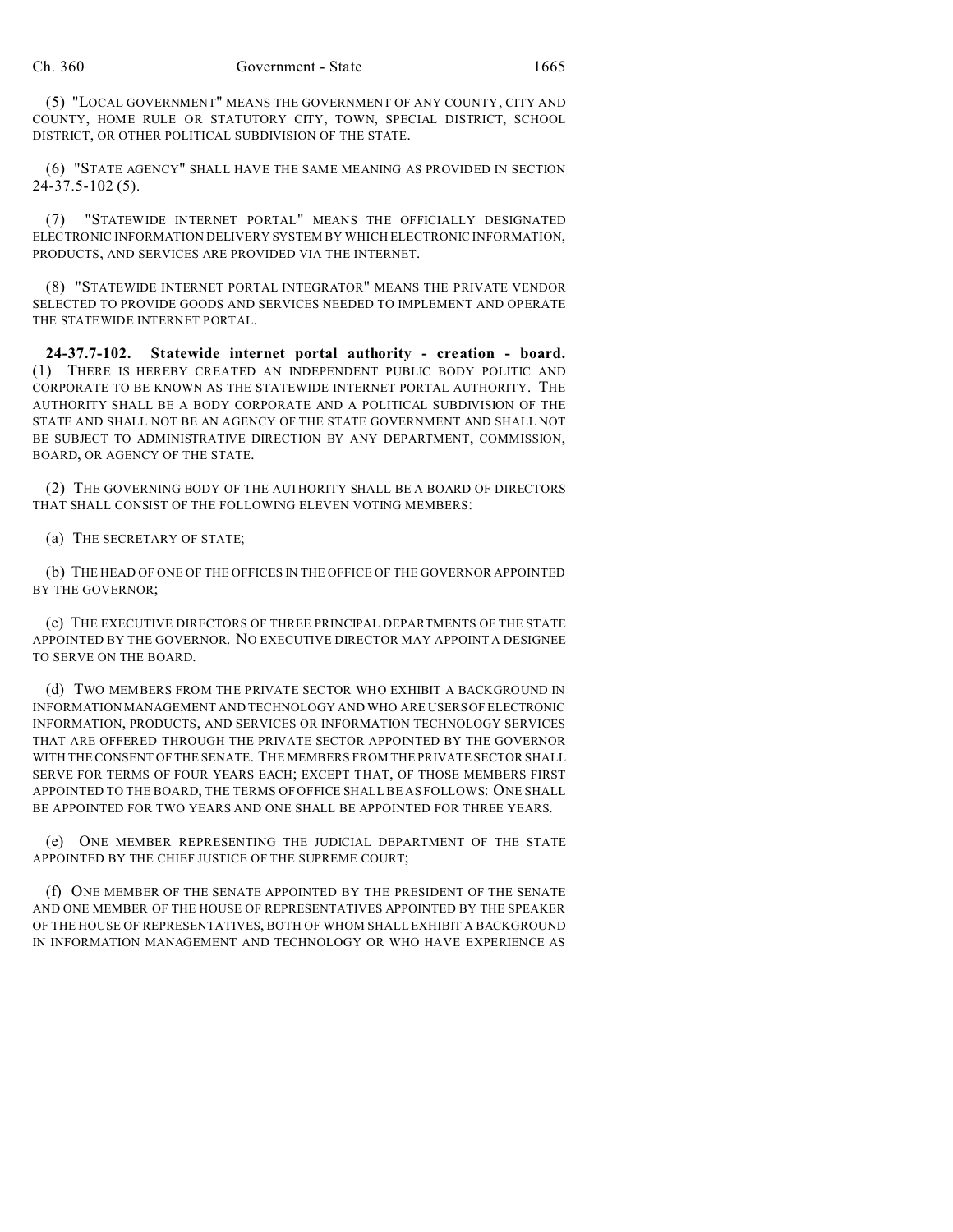(5) "LOCAL GOVERNMENT" MEANS THE GOVERNMENT OF ANY COUNTY, CITY AND COUNTY, HOME RULE OR STATUTORY CITY, TOWN, SPECIAL DISTRICT, SCHOOL DISTRICT, OR OTHER POLITICAL SUBDIVISION OF THE STATE.

(6) "STATE AGENCY" SHALL HAVE THE SAME MEANING AS PROVIDED IN SECTION 24-37.5-102 (5).

(7) "STATEWIDE INTERNET PORTAL" MEANS THE OFFICIALLY DESIGNATED ELECTRONIC INFORMATION DELIVERY SYSTEM BY WHICH ELECTRONIC INFORMATION, PRODUCTS, AND SERVICES ARE PROVIDED VIA THE INTERNET.

(8) "STATEWIDE INTERNET PORTAL INTEGRATOR" MEANS THE PRIVATE VENDOR SELECTED TO PROVIDE GOODS AND SERVICES NEEDED TO IMPLEMENT AND OPERATE THE STATEWIDE INTERNET PORTAL.

**24-37.7-102. Statewide internet portal authority - creation - board.** (1) THERE IS HEREBY CREATED AN INDEPENDENT PUBLIC BODY POLITIC AND CORPORATE TO BE KNOWN AS THE STATEWIDE INTERNET PORTAL AUTHORITY. THE AUTHORITY SHALL BE A BODY CORPORATE AND A POLITICAL SUBDIVISION OF THE STATE AND SHALL NOT BE AN AGENCY OF THE STATE GOVERNMENT AND SHALL NOT BE SUBJECT TO ADMINISTRATIVE DIRECTION BY ANY DEPARTMENT, COMMISSION, BOARD, OR AGENCY OF THE STATE.

(2) THE GOVERNING BODY OF THE AUTHORITY SHALL BE A BOARD OF DIRECTORS THAT SHALL CONSIST OF THE FOLLOWING ELEVEN VOTING MEMBERS:

(a) THE SECRETARY OF STATE;

(b) THE HEAD OF ONE OF THE OFFICES IN THE OFFICE OF THE GOVERNOR APPOINTED BY THE GOVERNOR;

(c) THE EXECUTIVE DIRECTORS OF THREE PRINCIPAL DEPARTMENTS OF THE STATE APPOINTED BY THE GOVERNOR. NO EXECUTIVE DIRECTOR MAY APPOINT A DESIGNEE TO SERVE ON THE BOARD.

(d) TWO MEMBERS FROM THE PRIVATE SECTOR WHO EXHIBIT A BACKGROUND IN INFORMATION MANAGEMENT AND TECHNOLOGY AND WHO ARE USERS OF ELECTRONIC INFORMATION, PRODUCTS, AND SERVICES OR INFORMATION TECHNOLOGY SERVICES THAT ARE OFFERED THROUGH THE PRIVATE SECTOR APPOINTED BY THE GOVERNOR WITH THE CONSENT OF THE SENATE. THE MEMBERS FROM THE PRIVATE SECTOR SHALL SERVE FOR TERMS OF FOUR YEARS EACH; EXCEPT THAT, OF THOSE MEMBERS FIRST APPOINTED TO THE BOARD, THE TERMS OF OFFICE SHALL BE AS FOLLOWS: ONE SHALL BE APPOINTED FOR TWO YEARS AND ONE SHALL BE APPOINTED FOR THREE YEARS.

(e) ONE MEMBER REPRESENTING THE JUDICIAL DEPARTMENT OF THE STATE APPOINTED BY THE CHIEF JUSTICE OF THE SUPREME COURT;

(f) ONE MEMBER OF THE SENATE APPOINTED BY THE PRESIDENT OF THE SENATE AND ONE MEMBER OF THE HOUSE OF REPRESENTATIVES APPOINTED BY THE SPEAKER OF THE HOUSE OF REPRESENTATIVES, BOTH OF WHOM SHALL EXHIBIT A BACKGROUND IN INFORMATION MANAGEMENT AND TECHNOLOGY OR WHO HAVE EXPERIENCE AS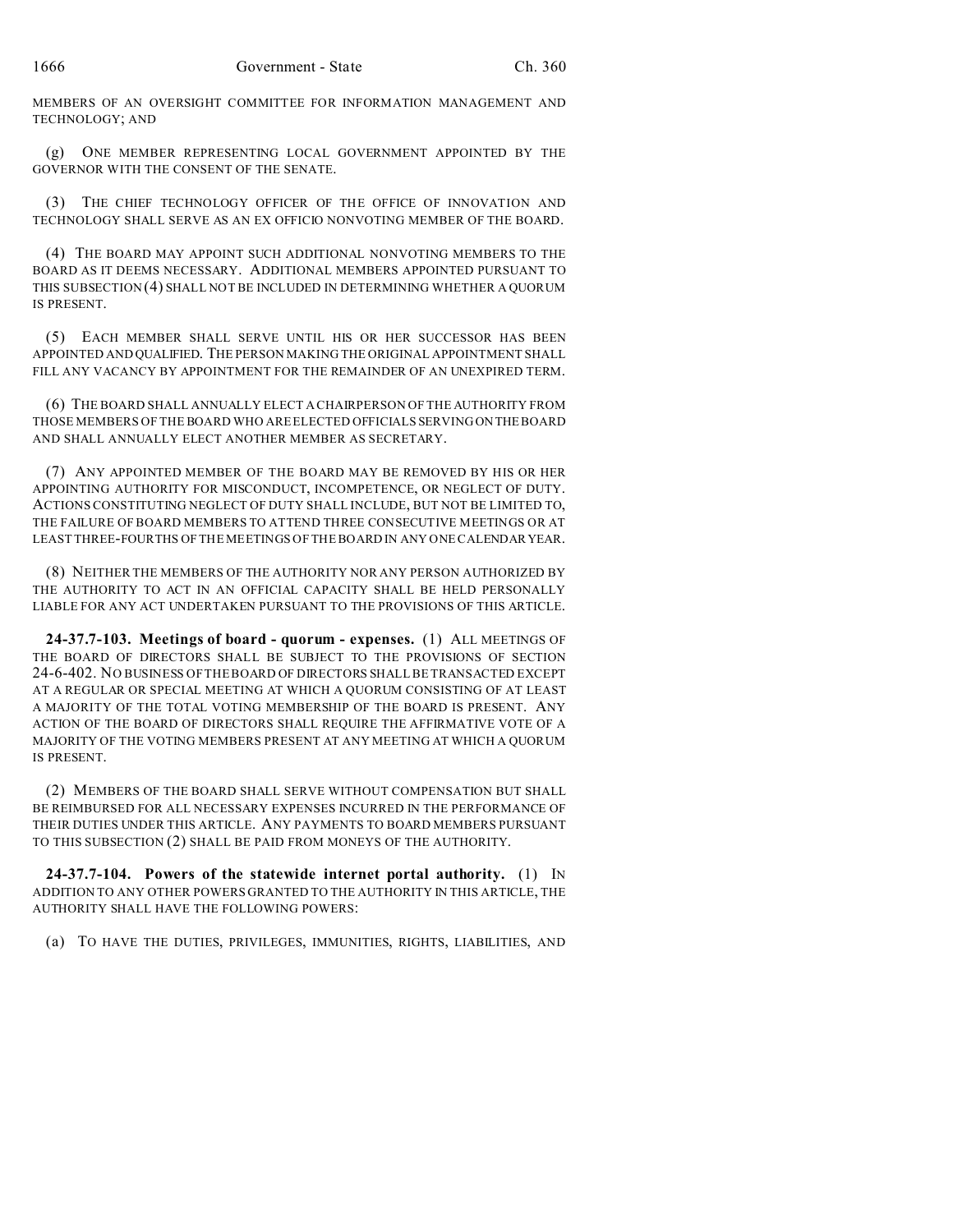MEMBERS OF AN OVERSIGHT COMMITTEE FOR INFORMATION MANAGEMENT AND TECHNOLOGY; AND

(g) ONE MEMBER REPRESENTING LOCAL GOVERNMENT APPOINTED BY THE GOVERNOR WITH THE CONSENT OF THE SENATE.

(3) THE CHIEF TECHNOLOGY OFFICER OF THE OFFICE OF INNOVATION AND TECHNOLOGY SHALL SERVE AS AN EX OFFICIO NONVOTING MEMBER OF THE BOARD.

(4) THE BOARD MAY APPOINT SUCH ADDITIONAL NONVOTING MEMBERS TO THE BOARD AS IT DEEMS NECESSARY. ADDITIONAL MEMBERS APPOINTED PURSUANT TO THIS SUBSECTION (4) SHALL NOT BE INCLUDED IN DETERMINING WHETHER A QUORUM IS PRESENT.

(5) EACH MEMBER SHALL SERVE UNTIL HIS OR HER SUCCESSOR HAS BEEN APPOINTED AND QUALIFIED. THE PERSON MAKING THE ORIGINAL APPOINTMENT SHALL FILL ANY VACANCY BY APPOINTMENT FOR THE REMAINDER OF AN UNEXPIRED TERM.

(6) THE BOARD SHALL ANNUALLY ELECT A CHAIRPERSON OF THE AUTHORITY FROM THOSE MEMBERS OF THE BOARD WHO ARE ELECTED OFFICIALS SERVING ON THE BOARD AND SHALL ANNUALLY ELECT ANOTHER MEMBER AS SECRETARY.

(7) ANY APPOINTED MEMBER OF THE BOARD MAY BE REMOVED BY HIS OR HER APPOINTING AUTHORITY FOR MISCONDUCT, INCOMPETENCE, OR NEGLECT OF DUTY. ACTIONS CONSTITUTING NEGLECT OF DUTY SHALL INCLUDE, BUT NOT BE LIMITED TO, THE FAILURE OF BOARD MEMBERS TO ATTEND THREE CONSECUTIVE MEETINGS OR AT LEAST THREE-FOURTHS OF THE MEETINGS OF THE BOARD IN ANY ONE CALENDAR YEAR.

(8) NEITHER THE MEMBERS OF THE AUTHORITY NOR ANY PERSON AUTHORIZED BY THE AUTHORITY TO ACT IN AN OFFICIAL CAPACITY SHALL BE HELD PERSONALLY LIABLE FOR ANY ACT UNDERTAKEN PURSUANT TO THE PROVISIONS OF THIS ARTICLE.

**24-37.7-103. Meetings of board - quorum - expenses.** (1) ALL MEETINGS OF THE BOARD OF DIRECTORS SHALL BE SUBJECT TO THE PROVISIONS OF SECTION 24-6-402. NO BUSINESS OF THE BOARD OF DIRECTORS SHALL BE TRANSACTED EXCEPT AT A REGULAR OR SPECIAL MEETING AT WHICH A QUORUM CONSISTING OF AT LEAST A MAJORITY OF THE TOTAL VOTING MEMBERSHIP OF THE BOARD IS PRESENT. ANY ACTION OF THE BOARD OF DIRECTORS SHALL REQUIRE THE AFFIRMATIVE VOTE OF A MAJORITY OF THE VOTING MEMBERS PRESENT AT ANY MEETING AT WHICH A QUORUM IS PRESENT.

(2) MEMBERS OF THE BOARD SHALL SERVE WITHOUT COMPENSATION BUT SHALL BE REIMBURSED FOR ALL NECESSARY EXPENSES INCURRED IN THE PERFORMANCE OF THEIR DUTIES UNDER THIS ARTICLE. ANY PAYMENTS TO BOARD MEMBERS PURSUANT TO THIS SUBSECTION (2) SHALL BE PAID FROM MONEYS OF THE AUTHORITY.

**24-37.7-104. Powers of the statewide internet portal authority.** (1) IN ADDITION TO ANY OTHER POWERS GRANTED TO THE AUTHORITY IN THIS ARTICLE, THE AUTHORITY SHALL HAVE THE FOLLOWING POWERS:

(a) TO HAVE THE DUTIES, PRIVILEGES, IMMUNITIES, RIGHTS, LIABILITIES, AND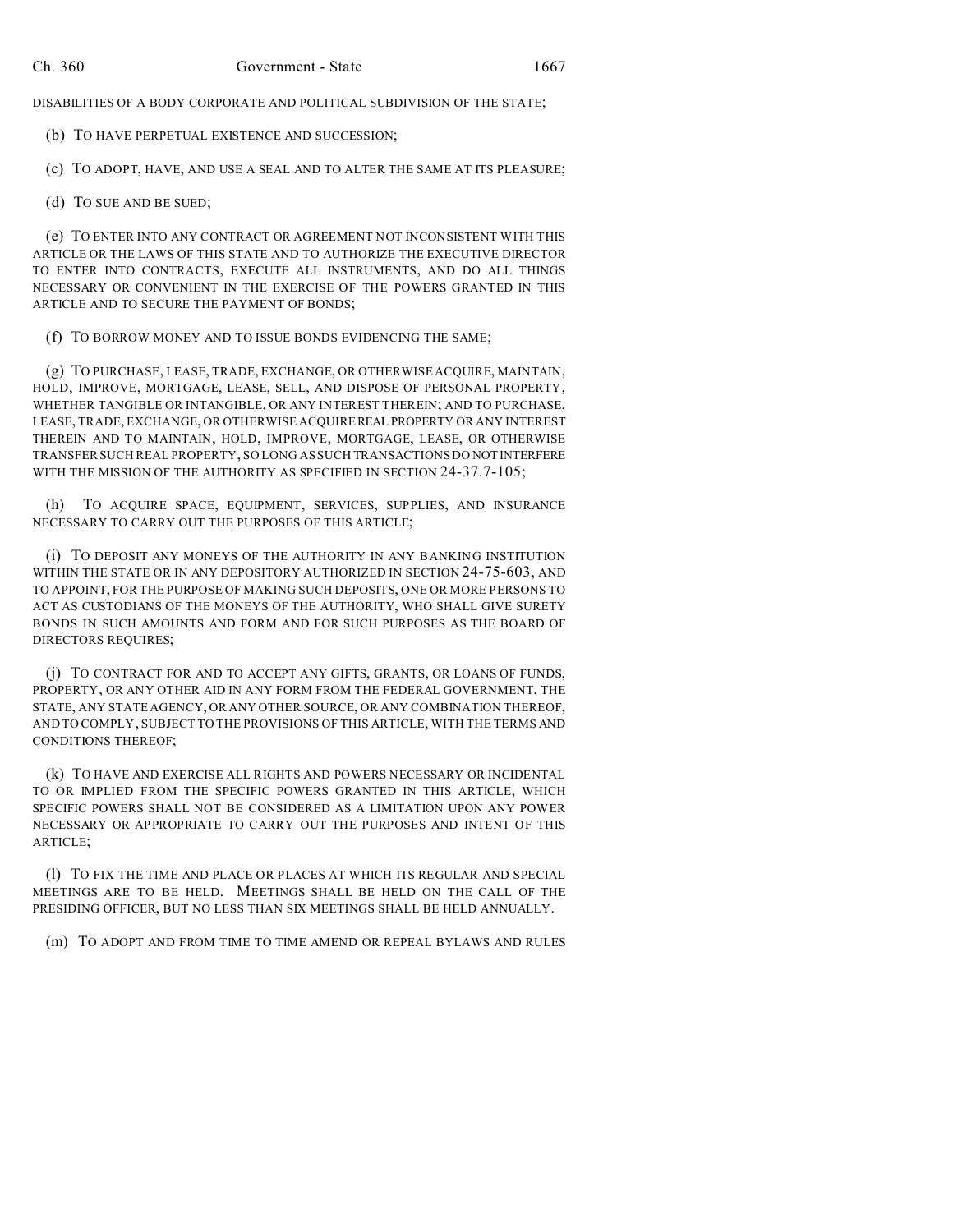DISABILITIES OF A BODY CORPORATE AND POLITICAL SUBDIVISION OF THE STATE;

(b) TO HAVE PERPETUAL EXISTENCE AND SUCCESSION;

(c) TO ADOPT, HAVE, AND USE A SEAL AND TO ALTER THE SAME AT ITS PLEASURE;

(d) TO SUE AND BE SUED;

(e) TO ENTER INTO ANY CONTRACT OR AGREEMENT NOT INCONSISTENT WITH THIS ARTICLE OR THE LAWS OF THIS STATE AND TO AUTHORIZE THE EXECUTIVE DIRECTOR TO ENTER INTO CONTRACTS, EXECUTE ALL INSTRUMENTS, AND DO ALL THINGS NECESSARY OR CONVENIENT IN THE EXERCISE OF THE POWERS GRANTED IN THIS ARTICLE AND TO SECURE THE PAYMENT OF BONDS;

(f) TO BORROW MONEY AND TO ISSUE BONDS EVIDENCING THE SAME;

(g) TO PURCHASE, LEASE, TRADE, EXCHANGE, OR OTHERWISE ACQUIRE, MAINTAIN, HOLD, IMPROVE, MORTGAGE, LEASE, SELL, AND DISPOSE OF PERSONAL PROPERTY, WHETHER TANGIBLE OR INTANGIBLE, OR ANY INTEREST THEREIN; AND TO PURCHASE, LEASE, TRADE, EXCHANGE, OR OTHERWISE ACQUIRE REAL PROPERTY OR ANY INTEREST THEREIN AND TO MAINTAIN, HOLD, IMPROVE, MORTGAGE, LEASE, OR OTHERWISE TRANSFER SUCH REAL PROPERTY, SO LONG AS SUCH TRANSACTIONS DO NOTINTERFERE WITH THE MISSION OF THE AUTHORITY AS SPECIFIED IN SECTION 24-37.7-105;

(h) TO ACQUIRE SPACE, EQUIPMENT, SERVICES, SUPPLIES, AND INSURANCE NECESSARY TO CARRY OUT THE PURPOSES OF THIS ARTICLE;

(i) TO DEPOSIT ANY MONEYS OF THE AUTHORITY IN ANY BANKING INSTITUTION WITHIN THE STATE OR IN ANY DEPOSITORY AUTHORIZED IN SECTION 24-75-603, AND TO APPOINT, FOR THE PURPOSE OF MAKING SUCH DEPOSITS, ONE OR MORE PERSONS TO ACT AS CUSTODIANS OF THE MONEYS OF THE AUTHORITY, WHO SHALL GIVE SURETY BONDS IN SUCH AMOUNTS AND FORM AND FOR SUCH PURPOSES AS THE BOARD OF DIRECTORS REQUIRES;

(j) TO CONTRACT FOR AND TO ACCEPT ANY GIFTS, GRANTS, OR LOANS OF FUNDS, PROPERTY, OR ANY OTHER AID IN ANY FORM FROM THE FEDERAL GOVERNMENT, THE STATE, ANY STATE AGENCY, OR ANY OTHER SOURCE, OR ANY COMBINATION THEREOF, AND TO COMPLY, SUBJECT TO THE PROVISIONS OF THIS ARTICLE, WITH THE TERMS AND CONDITIONS THEREOF;

(k) TO HAVE AND EXERCISE ALL RIGHTS AND POWERS NECESSARY OR INCIDENTAL TO OR IMPLIED FROM THE SPECIFIC POWERS GRANTED IN THIS ARTICLE, WHICH SPECIFIC POWERS SHALL NOT BE CONSIDERED AS A LIMITATION UPON ANY POWER NECESSARY OR APPROPRIATE TO CARRY OUT THE PURPOSES AND INTENT OF THIS ARTICLE;

(l) TO FIX THE TIME AND PLACE OR PLACES AT WHICH ITS REGULAR AND SPECIAL MEETINGS ARE TO BE HELD. MEETINGS SHALL BE HELD ON THE CALL OF THE PRESIDING OFFICER, BUT NO LESS THAN SIX MEETINGS SHALL BE HELD ANNUALLY.

(m) TO ADOPT AND FROM TIME TO TIME AMEND OR REPEAL BYLAWS AND RULES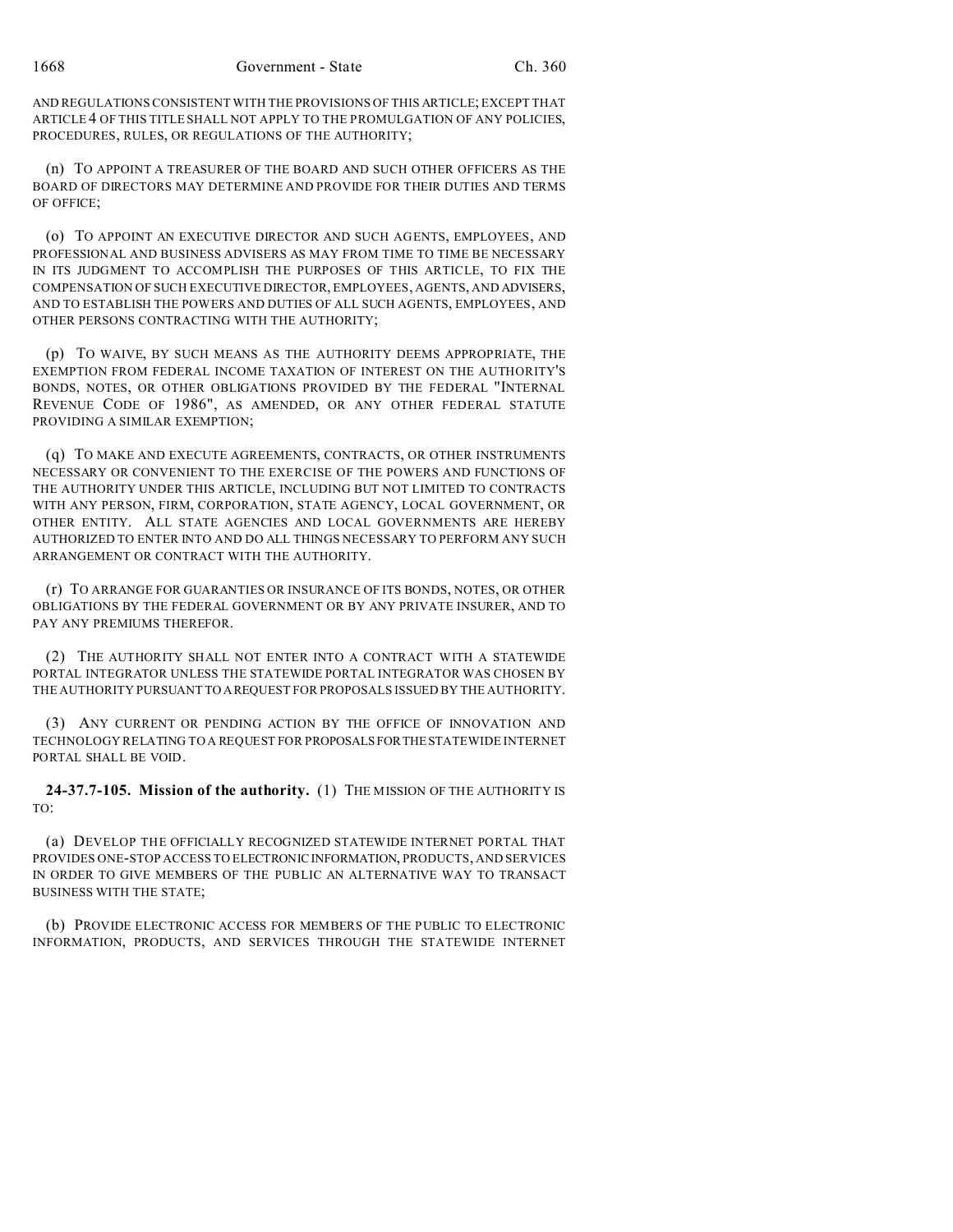AND REGULATIONS CONSISTENT WITH THE PROVISIONS OF THIS ARTICLE; EXCEPT THAT ARTICLE 4 OF THIS TITLE SHALL NOT APPLY TO THE PROMULGATION OF ANY POLICIES, PROCEDURES, RULES, OR REGULATIONS OF THE AUTHORITY;

(n) TO APPOINT A TREASURER OF THE BOARD AND SUCH OTHER OFFICERS AS THE BOARD OF DIRECTORS MAY DETERMINE AND PROVIDE FOR THEIR DUTIES AND TERMS OF OFFICE;

(o) TO APPOINT AN EXECUTIVE DIRECTOR AND SUCH AGENTS, EMPLOYEES, AND PROFESSIONAL AND BUSINESS ADVISERS AS MAY FROM TIME TO TIME BE NECESSARY IN ITS JUDGMENT TO ACCOMPLISH THE PURPOSES OF THIS ARTICLE, TO FIX THE COMPENSATION OF SUCH EXECUTIVE DIRECTOR, EMPLOYEES, AGENTS, AND ADVISERS, AND TO ESTABLISH THE POWERS AND DUTIES OF ALL SUCH AGENTS, EMPLOYEES, AND OTHER PERSONS CONTRACTING WITH THE AUTHORITY;

(p) TO WAIVE, BY SUCH MEANS AS THE AUTHORITY DEEMS APPROPRIATE, THE EXEMPTION FROM FEDERAL INCOME TAXATION OF INTEREST ON THE AUTHORITY'S BONDS, NOTES, OR OTHER OBLIGATIONS PROVIDED BY THE FEDERAL "INTERNAL REVENUE CODE OF 1986", AS AMENDED, OR ANY OTHER FEDERAL STATUTE PROVIDING A SIMILAR EXEMPTION;

(q) TO MAKE AND EXECUTE AGREEMENTS, CONTRACTS, OR OTHER INSTRUMENTS NECESSARY OR CONVENIENT TO THE EXERCISE OF THE POWERS AND FUNCTIONS OF THE AUTHORITY UNDER THIS ARTICLE, INCLUDING BUT NOT LIMITED TO CONTRACTS WITH ANY PERSON, FIRM, CORPORATION, STATE AGENCY, LOCAL GOVERNMENT, OR OTHER ENTITY. ALL STATE AGENCIES AND LOCAL GOVERNMENTS ARE HEREBY AUTHORIZED TO ENTER INTO AND DO ALL THINGS NECESSARY TO PERFORM ANY SUCH ARRANGEMENT OR CONTRACT WITH THE AUTHORITY.

(r) TO ARRANGE FOR GUARANTIES OR INSURANCE OF ITS BONDS, NOTES, OR OTHER OBLIGATIONS BY THE FEDERAL GOVERNMENT OR BY ANY PRIVATE INSURER, AND TO PAY ANY PREMIUMS THEREFOR.

(2) THE AUTHORITY SHALL NOT ENTER INTO A CONTRACT WITH A STATEWIDE PORTAL INTEGRATOR UNLESS THE STATEWIDE PORTAL INTEGRATOR WAS CHOSEN BY THE AUTHORITY PURSUANT TO AREQUEST FOR PROPOSALS ISSUED BY THE AUTHORITY.

(3) ANY CURRENT OR PENDING ACTION BY THE OFFICE OF INNOVATION AND TECHNOLOGY RELATING TO A REQUEST FOR PROPOSALS FORTHESTATEWIDE INTERNET PORTAL SHALL BE VOID.

**24-37.7-105. Mission of the authority.** (1) THE MISSION OF THE AUTHORITY IS TO:

(a) DEVELOP THE OFFICIALLY RECOGNIZED STATEWIDE INTERNET PORTAL THAT PROVIDES ONE-STOP ACCESS TO ELECTRONICINFORMATION, PRODUCTS, AND SERVICES IN ORDER TO GIVE MEMBERS OF THE PUBLIC AN ALTERNATIVE WAY TO TRANSACT BUSINESS WITH THE STATE;

(b) PROVIDE ELECTRONIC ACCESS FOR MEMBERS OF THE PUBLIC TO ELECTRONIC INFORMATION, PRODUCTS, AND SERVICES THROUGH THE STATEWIDE INTERNET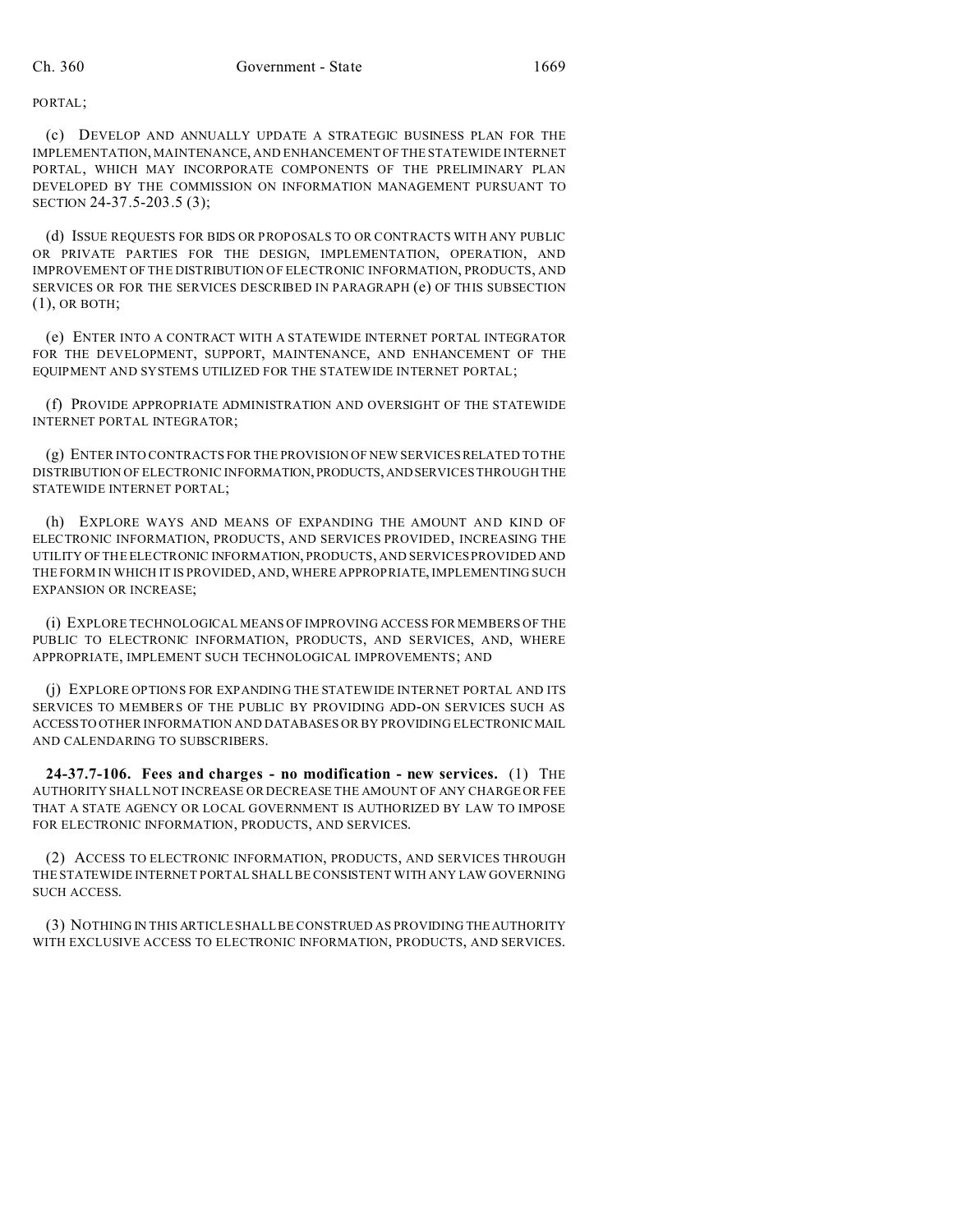PORTAL;

(c) DEVELOP AND ANNUALLY UPDATE A STRATEGIC BUSINESS PLAN FOR THE IMPLEMENTATION, MAINTENANCE, AND ENHANCEMENT OF THE STATEWIDE INTERNET PORTAL, WHICH MAY INCORPORATE COMPONENTS OF THE PRELIMINARY PLAN DEVELOPED BY THE COMMISSION ON INFORMATION MANAGEMENT PURSUANT TO SECTION 24-37.5-203.5 (3);

(d) ISSUE REQUESTS FOR BIDS OR PROPOSALS TO OR CONTRACTS WITH ANY PUBLIC OR PRIVATE PARTIES FOR THE DESIGN, IMPLEMENTATION, OPERATION, AND IMPROVEMENT OF THE DISTRIBUTION OF ELECTRONIC INFORMATION, PRODUCTS, AND SERVICES OR FOR THE SERVICES DESCRIBED IN PARAGRAPH (e) OF THIS SUBSECTION (1), OR BOTH;

(e) ENTER INTO A CONTRACT WITH A STATEWIDE INTERNET PORTAL INTEGRATOR FOR THE DEVELOPMENT, SUPPORT, MAINTENANCE, AND ENHANCEMENT OF THE EQUIPMENT AND SYSTEMS UTILIZED FOR THE STATEWIDE INTERNET PORTAL;

(f) PROVIDE APPROPRIATE ADMINISTRATION AND OVERSIGHT OF THE STATEWIDE INTERNET PORTAL INTEGRATOR;

(g) ENTER INTO CONTRACTS FOR THE PROVISION OF NEW SERVICES RELATED TO THE DISTRIBUTION OF ELECTRONIC INFORMATION, PRODUCTS,ANDSERVICES THROUGH THE STATEWIDE INTERNET PORTAL;

(h) EXPLORE WAYS AND MEANS OF EXPANDING THE AMOUNT AND KIND OF ELECTRONIC INFORMATION, PRODUCTS, AND SERVICES PROVIDED, INCREASING THE UTILITY OF THE ELECTRONIC INFORMATION, PRODUCTS, AND SERVICES PROVIDED AND THE FORM IN WHICH IT IS PROVIDED, AND, WHERE APPROPRIATE, IMPLEMENTING SUCH EXPANSION OR INCREASE;

(i) EXPLORE TECHNOLOGICAL MEANS OF IMPROVING ACCESS FOR MEMBERS OF THE PUBLIC TO ELECTRONIC INFORMATION, PRODUCTS, AND SERVICES, AND, WHERE APPROPRIATE, IMPLEMENT SUCH TECHNOLOGICAL IMPROVEMENTS; AND

(j) EXPLORE OPTIONS FOR EXPANDING THE STATEWIDE INTERNET PORTAL AND ITS SERVICES TO MEMBERS OF THE PUBLIC BY PROVIDING ADD-ON SERVICES SUCH AS ACCESSTO OTHER INFORMATION AND DATABASES OR BY PROVIDING ELECTRONICMAIL AND CALENDARING TO SUBSCRIBERS.

**24-37.7-106. Fees and charges - no modification - new services.** (1) THE AUTHORITY SHALL NOT INCREASE OR DECREASE THE AMOUNT OF ANY CHARGE OR FEE THAT A STATE AGENCY OR LOCAL GOVERNMENT IS AUTHORIZED BY LAW TO IMPOSE FOR ELECTRONIC INFORMATION, PRODUCTS, AND SERVICES.

(2) ACCESS TO ELECTRONIC INFORMATION, PRODUCTS, AND SERVICES THROUGH THE STATEWIDE INTERNET PORTAL SHALL BE CONSISTENT WITH ANY LAW GOVERNING SUCH ACCESS.

(3) NOTHING IN THIS ARTICLE SHALL BE CONSTRUED AS PROVIDING THEAUTHORITY WITH EXCLUSIVE ACCESS TO ELECTRONIC INFORMATION, PRODUCTS, AND SERVICES.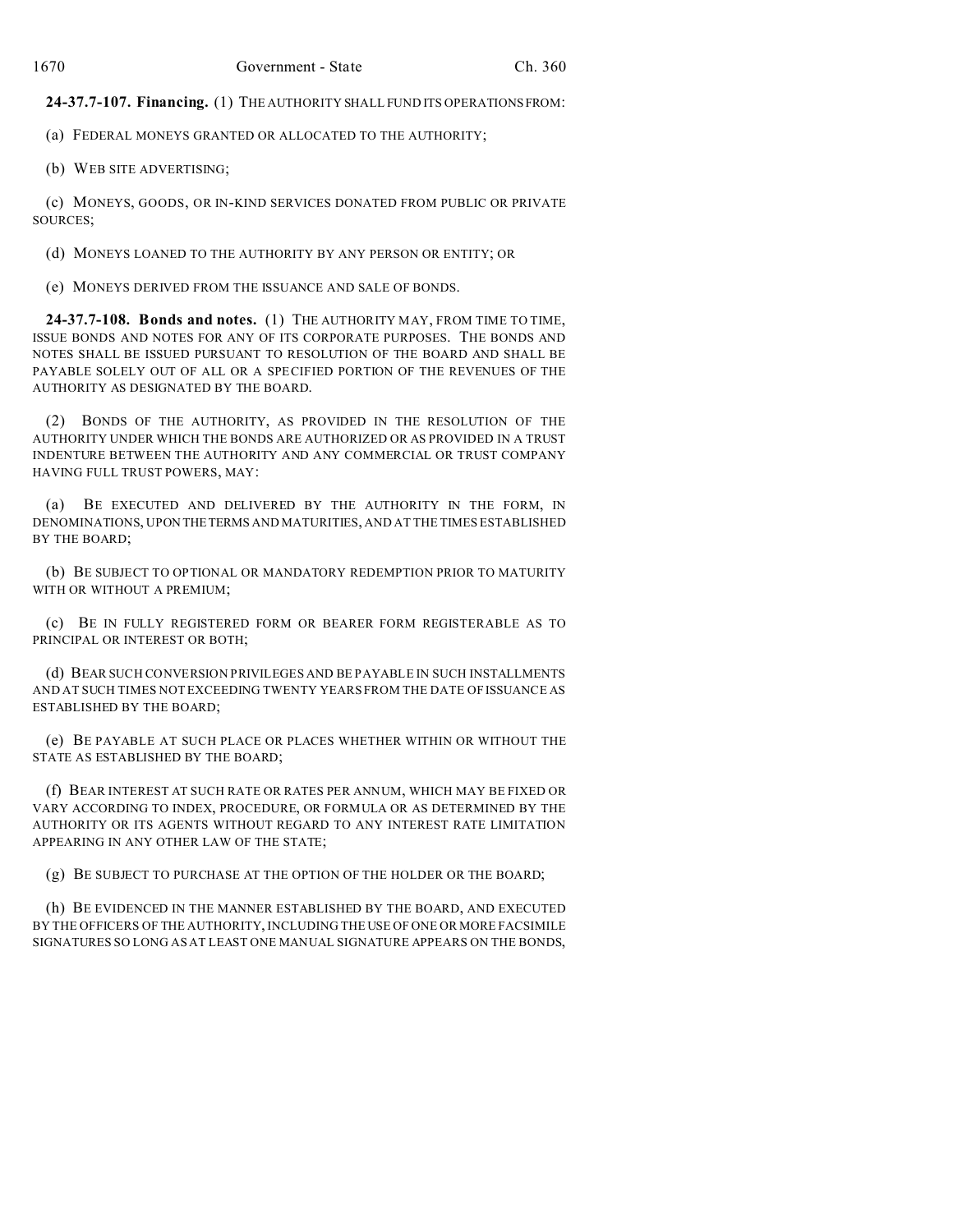**24-37.7-107. Financing.** (1) THE AUTHORITY SHALL FUND ITS OPERATIONSFROM:

(a) FEDERAL MONEYS GRANTED OR ALLOCATED TO THE AUTHORITY;

(b) WEB SITE ADVERTISING;

(c) MONEYS, GOODS, OR IN-KIND SERVICES DONATED FROM PUBLIC OR PRIVATE SOURCES;

(d) MONEYS LOANED TO THE AUTHORITY BY ANY PERSON OR ENTITY; OR

(e) MONEYS DERIVED FROM THE ISSUANCE AND SALE OF BONDS.

**24-37.7-108. Bonds and notes.** (1) THE AUTHORITY MAY, FROM TIME TO TIME, ISSUE BONDS AND NOTES FOR ANY OF ITS CORPORATE PURPOSES. THE BONDS AND NOTES SHALL BE ISSUED PURSUANT TO RESOLUTION OF THE BOARD AND SHALL BE PAYABLE SOLELY OUT OF ALL OR A SPECIFIED PORTION OF THE REVENUES OF THE AUTHORITY AS DESIGNATED BY THE BOARD.

(2) BONDS OF THE AUTHORITY, AS PROVIDED IN THE RESOLUTION OF THE AUTHORITY UNDER WHICH THE BONDS ARE AUTHORIZED OR AS PROVIDED IN A TRUST INDENTURE BETWEEN THE AUTHORITY AND ANY COMMERCIAL OR TRUST COMPANY HAVING FULL TRUST POWERS, MAY:

(a) BE EXECUTED AND DELIVERED BY THE AUTHORITY IN THE FORM, IN DENOMINATIONS, UPON THETERMS AND MATURITIES, AND AT THE TIMES ESTABLISHED BY THE BOARD;

(b) BE SUBJECT TO OPTIONAL OR MANDATORY REDEMPTION PRIOR TO MATURITY WITH OR WITHOUT A PREMIUM;

(c) BE IN FULLY REGISTERED FORM OR BEARER FORM REGISTERABLE AS TO PRINCIPAL OR INTEREST OR BOTH;

(d) BEAR SUCH CONVERSION PRIVILEGES AND BE PAYABLE IN SUCH INSTALLMENTS AND AT SUCH TIMES NOT EXCEEDING TWENTY YEARS FROM THE DATE OF ISSUANCE AS ESTABLISHED BY THE BOARD;

(e) BE PAYABLE AT SUCH PLACE OR PLACES WHETHER WITHIN OR WITHOUT THE STATE AS ESTABLISHED BY THE BOARD;

(f) BEAR INTEREST AT SUCH RATE OR RATES PER ANNUM, WHICH MAY BE FIXED OR VARY ACCORDING TO INDEX, PROCEDURE, OR FORMULA OR AS DETERMINED BY THE AUTHORITY OR ITS AGENTS WITHOUT REGARD TO ANY INTEREST RATE LIMITATION APPEARING IN ANY OTHER LAW OF THE STATE;

(g) BE SUBJECT TO PURCHASE AT THE OPTION OF THE HOLDER OR THE BOARD;

(h) BE EVIDENCED IN THE MANNER ESTABLISHED BY THE BOARD, AND EXECUTED BY THE OFFICERS OF THE AUTHORITY, INCLUDING THE USE OF ONE OR MORE FACSIMILE SIGNATURES SO LONG AS AT LEAST ONE MANUAL SIGNATURE APPEARS ON THE BONDS,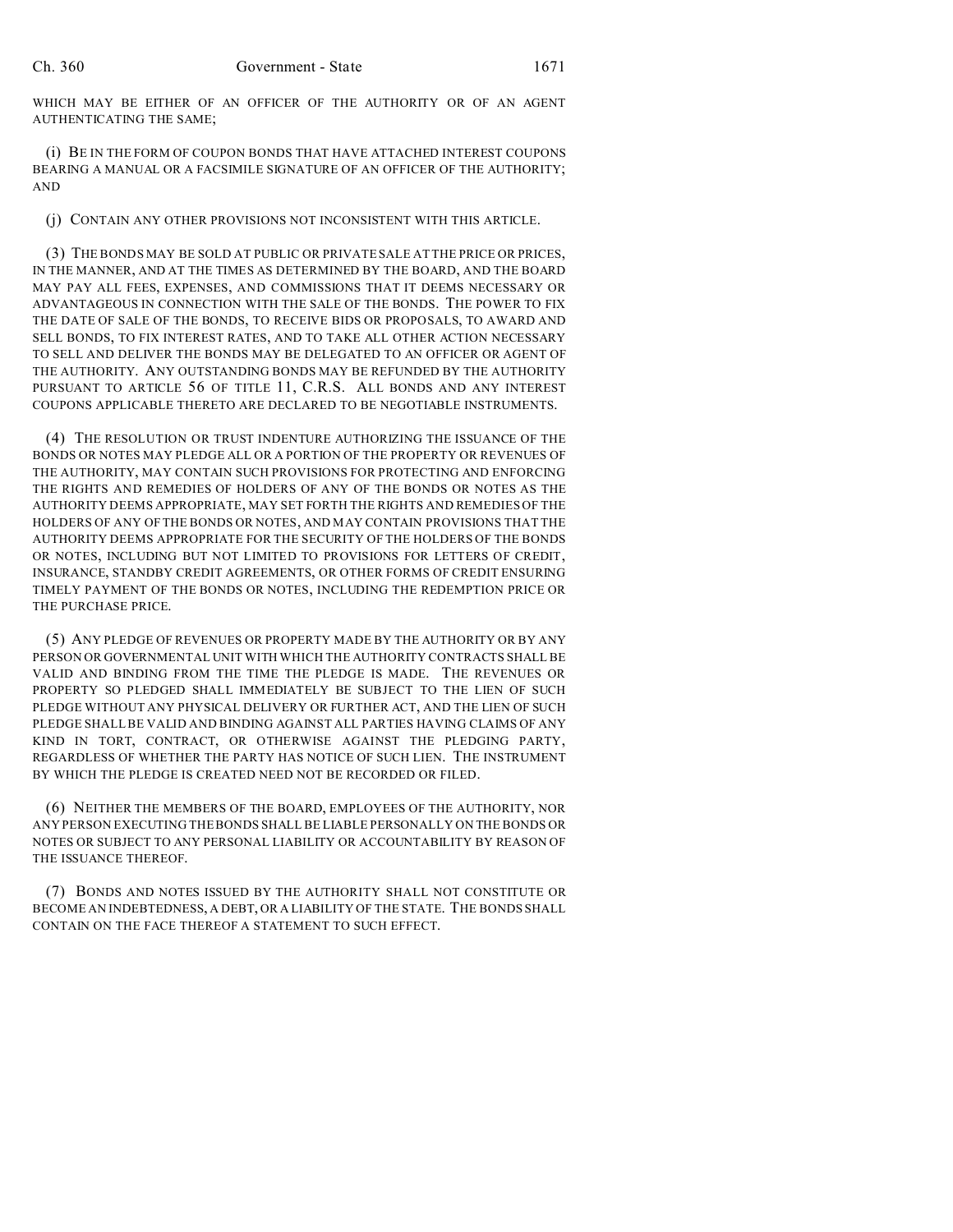WHICH MAY BE EITHER OF AN OFFICER OF THE AUTHORITY OR OF AN AGENT AUTHENTICATING THE SAME;

(i) BE IN THE FORM OF COUPON BONDS THAT HAVE ATTACHED INTEREST COUPONS BEARING A MANUAL OR A FACSIMILE SIGNATURE OF AN OFFICER OF THE AUTHORITY; AND

(j) CONTAIN ANY OTHER PROVISIONS NOT INCONSISTENT WITH THIS ARTICLE.

(3) THE BONDS MAY BE SOLD AT PUBLIC OR PRIVATE SALE AT THE PRICE OR PRICES, IN THE MANNER, AND AT THE TIMES AS DETERMINED BY THE BOARD, AND THE BOARD MAY PAY ALL FEES, EXPENSES, AND COMMISSIONS THAT IT DEEMS NECESSARY OR ADVANTAGEOUS IN CONNECTION WITH THE SALE OF THE BONDS. THE POWER TO FIX THE DATE OF SALE OF THE BONDS, TO RECEIVE BIDS OR PROPOSALS, TO AWARD AND SELL BONDS, TO FIX INTEREST RATES, AND TO TAKE ALL OTHER ACTION NECESSARY TO SELL AND DELIVER THE BONDS MAY BE DELEGATED TO AN OFFICER OR AGENT OF THE AUTHORITY. ANY OUTSTANDING BONDS MAY BE REFUNDED BY THE AUTHORITY PURSUANT TO ARTICLE 56 OF TITLE 11, C.R.S. ALL BONDS AND ANY INTEREST COUPONS APPLICABLE THERETO ARE DECLARED TO BE NEGOTIABLE INSTRUMENTS.

(4) THE RESOLUTION OR TRUST INDENTURE AUTHORIZING THE ISSUANCE OF THE BONDS OR NOTES MAY PLEDGE ALL OR A PORTION OF THE PROPERTY OR REVENUES OF THE AUTHORITY, MAY CONTAIN SUCH PROVISIONS FOR PROTECTING AND ENFORCING THE RIGHTS AND REMEDIES OF HOLDERS OF ANY OF THE BONDS OR NOTES AS THE AUTHORITY DEEMS APPROPRIATE, MAY SET FORTH THE RIGHTS AND REMEDIES OF THE HOLDERS OF ANY OF THE BONDS OR NOTES, AND MAY CONTAIN PROVISIONS THAT THE AUTHORITY DEEMS APPROPRIATE FOR THE SECURITY OF THE HOLDERS OF THE BONDS OR NOTES, INCLUDING BUT NOT LIMITED TO PROVISIONS FOR LETTERS OF CREDIT, INSURANCE, STANDBY CREDIT AGREEMENTS, OR OTHER FORMS OF CREDIT ENSURING TIMELY PAYMENT OF THE BONDS OR NOTES, INCLUDING THE REDEMPTION PRICE OR THE PURCHASE PRICE.

(5) ANY PLEDGE OF REVENUES OR PROPERTY MADE BY THE AUTHORITY OR BY ANY PERSON OR GOVERNMENTAL UNIT WITH WHICH THE AUTHORITY CONTRACTS SHALL BE VALID AND BINDING FROM THE TIME THE PLEDGE IS MADE. THE REVENUES OR PROPERTY SO PLEDGED SHALL IMMEDIATELY BE SUBJECT TO THE LIEN OF SUCH PLEDGE WITHOUT ANY PHYSICAL DELIVERY OR FURTHER ACT, AND THE LIEN OF SUCH PLEDGE SHALL BE VALID AND BINDING AGAINST ALL PARTIES HAVING CLAIMS OF ANY KIND IN TORT, CONTRACT, OR OTHERWISE AGAINST THE PLEDGING PARTY, REGARDLESS OF WHETHER THE PARTY HAS NOTICE OF SUCH LIEN. THE INSTRUMENT BY WHICH THE PLEDGE IS CREATED NEED NOT BE RECORDED OR FILED.

(6) NEITHER THE MEMBERS OF THE BOARD, EMPLOYEES OF THE AUTHORITY, NOR ANY PERSON EXECUTING THE BONDS SHALL BE LIABLE PERSONALLY ON THE BONDS OR NOTES OR SUBJECT TO ANY PERSONAL LIABILITY OR ACCOUNTABILITY BY REASON OF THE ISSUANCE THEREOF.

(7) BONDS AND NOTES ISSUED BY THE AUTHORITY SHALL NOT CONSTITUTE OR BECOME AN INDEBTEDNESS, A DEBT, OR A LIABILITY OF THE STATE. THE BONDS SHALL CONTAIN ON THE FACE THEREOF A STATEMENT TO SUCH EFFECT.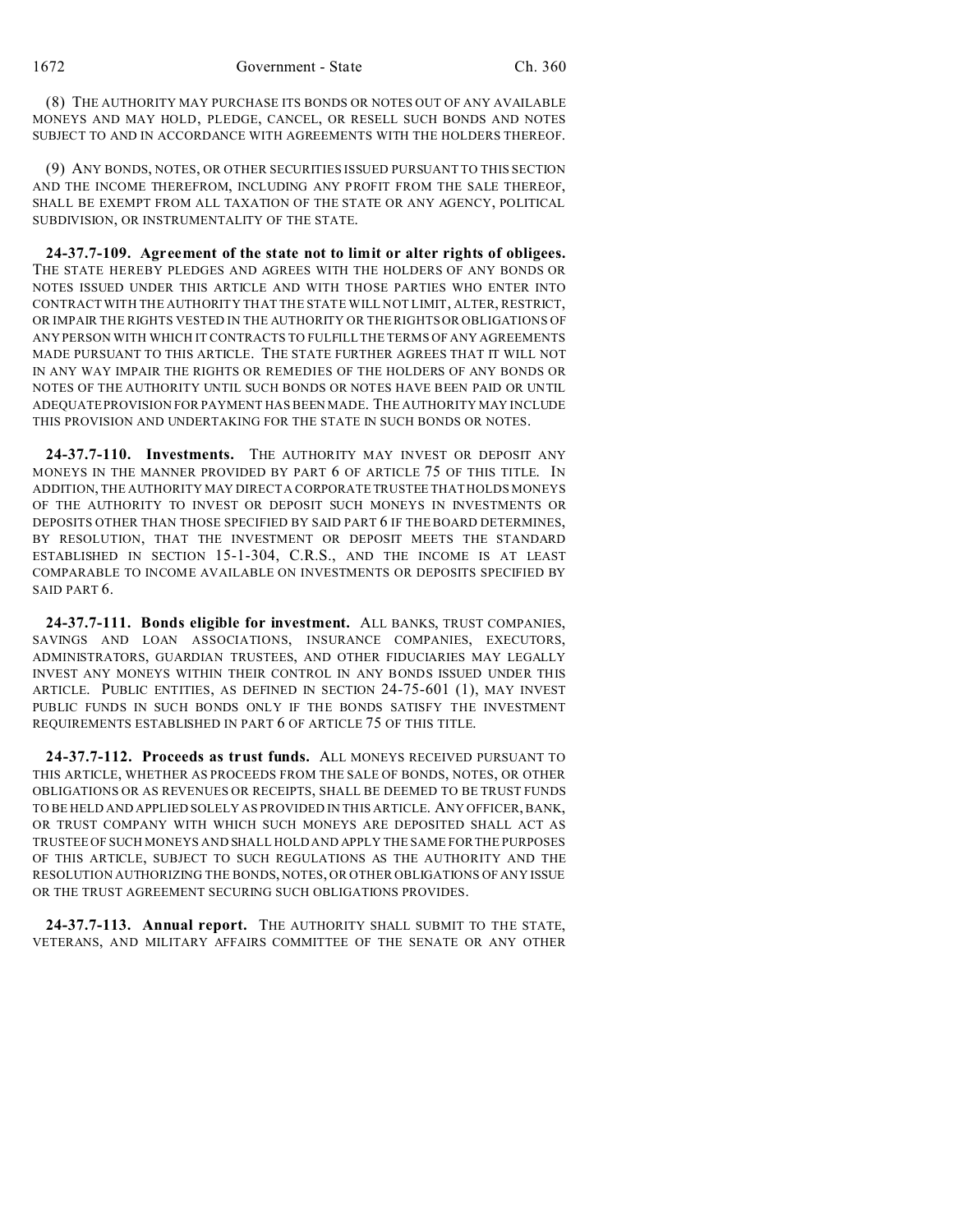(8) THE AUTHORITY MAY PURCHASE ITS BONDS OR NOTES OUT OF ANY AVAILABLE MONEYS AND MAY HOLD, PLEDGE, CANCEL, OR RESELL SUCH BONDS AND NOTES SUBJECT TO AND IN ACCORDANCE WITH AGREEMENTS WITH THE HOLDERS THEREOF.

(9) ANY BONDS, NOTES, OR OTHER SECURITIES ISSUED PURSUANT TO THIS SECTION AND THE INCOME THEREFROM, INCLUDING ANY PROFIT FROM THE SALE THEREOF, SHALL BE EXEMPT FROM ALL TAXATION OF THE STATE OR ANY AGENCY, POLITICAL SUBDIVISION, OR INSTRUMENTALITY OF THE STATE.

**24-37.7-109. Agreement of the state not to limit or alter rights of obligees.** THE STATE HEREBY PLEDGES AND AGREES WITH THE HOLDERS OF ANY BONDS OR NOTES ISSUED UNDER THIS ARTICLE AND WITH THOSE PARTIES WHO ENTER INTO CONTRACT WITH THE AUTHORITY THAT THE STATE WILL NOT LIMIT, ALTER, RESTRICT, OR IMPAIR THE RIGHTS VESTED IN THE AUTHORITY OR THE RIGHTS OR OBLIGATIONS OF ANY PERSON WITH WHICH IT CONTRACTS TO FULFILL THE TERMS OF ANY AGREEMENTS MADE PURSUANT TO THIS ARTICLE. THE STATE FURTHER AGREES THAT IT WILL NOT IN ANY WAY IMPAIR THE RIGHTS OR REMEDIES OF THE HOLDERS OF ANY BONDS OR NOTES OF THE AUTHORITY UNTIL SUCH BONDS OR NOTES HAVE BEEN PAID OR UNTIL ADEQUATE PROVISION FOR PAYMENT HAS BEEN MADE. THE AUTHORITY MAY INCLUDE THIS PROVISION AND UNDERTAKING FOR THE STATE IN SUCH BONDS OR NOTES.

**24-37.7-110. Investments.** THE AUTHORITY MAY INVEST OR DEPOSIT ANY MONEYS IN THE MANNER PROVIDED BY PART 6 OF ARTICLE 75 OF THIS TITLE. IN ADDITION, THE AUTHORITY MAY DIRECT A CORPORATE TRUSTEE THAT HOLDS MONEYS OF THE AUTHORITY TO INVEST OR DEPOSIT SUCH MONEYS IN INVESTMENTS OR DEPOSITS OTHER THAN THOSE SPECIFIED BY SAID PART 6 IF THE BOARD DETERMINES, BY RESOLUTION, THAT THE INVESTMENT OR DEPOSIT MEETS THE STANDARD ESTABLISHED IN SECTION 15-1-304, C.R.S., AND THE INCOME IS AT LEAST COMPARABLE TO INCOME AVAILABLE ON INVESTMENTS OR DEPOSITS SPECIFIED BY SAID PART 6.

**24-37.7-111. Bonds eligible for investment.** ALL BANKS, TRUST COMPANIES, SAVINGS AND LOAN ASSOCIATIONS, INSURANCE COMPANIES, EXECUTORS, ADMINISTRATORS, GUARDIAN TRUSTEES, AND OTHER FIDUCIARIES MAY LEGALLY INVEST ANY MONEYS WITHIN THEIR CONTROL IN ANY BONDS ISSUED UNDER THIS ARTICLE. PUBLIC ENTITIES, AS DEFINED IN SECTION 24-75-601 (1), MAY INVEST PUBLIC FUNDS IN SUCH BONDS ONLY IF THE BONDS SATISFY THE INVESTMENT REQUIREMENTS ESTABLISHED IN PART 6 OF ARTICLE 75 OF THIS TITLE.

**24-37.7-112. Proceeds as trust funds.** ALL MONEYS RECEIVED PURSUANT TO THIS ARTICLE, WHETHER AS PROCEEDS FROM THE SALE OF BONDS, NOTES, OR OTHER OBLIGATIONS OR AS REVENUES OR RECEIPTS, SHALL BE DEEMED TO BE TRUST FUNDS TO BE HELD AND APPLIED SOLELY AS PROVIDED IN THIS ARTICLE. ANY OFFICER, BANK, OR TRUST COMPANY WITH WHICH SUCH MONEYS ARE DEPOSITED SHALL ACT AS TRUSTEE OF SUCH MONEYS AND SHALL HOLD AND APPLY THE SAME FOR THE PURPOSES OF THIS ARTICLE, SUBJECT TO SUCH REGULATIONS AS THE AUTHORITY AND THE RESOLUTION AUTHORIZING THE BONDS, NOTES, OR OTHER OBLIGATIONS OF ANY ISSUE OR THE TRUST AGREEMENT SECURING SUCH OBLIGATIONS PROVIDES.

**24-37.7-113. Annual report.** THE AUTHORITY SHALL SUBMIT TO THE STATE, VETERANS, AND MILITARY AFFAIRS COMMITTEE OF THE SENATE OR ANY OTHER